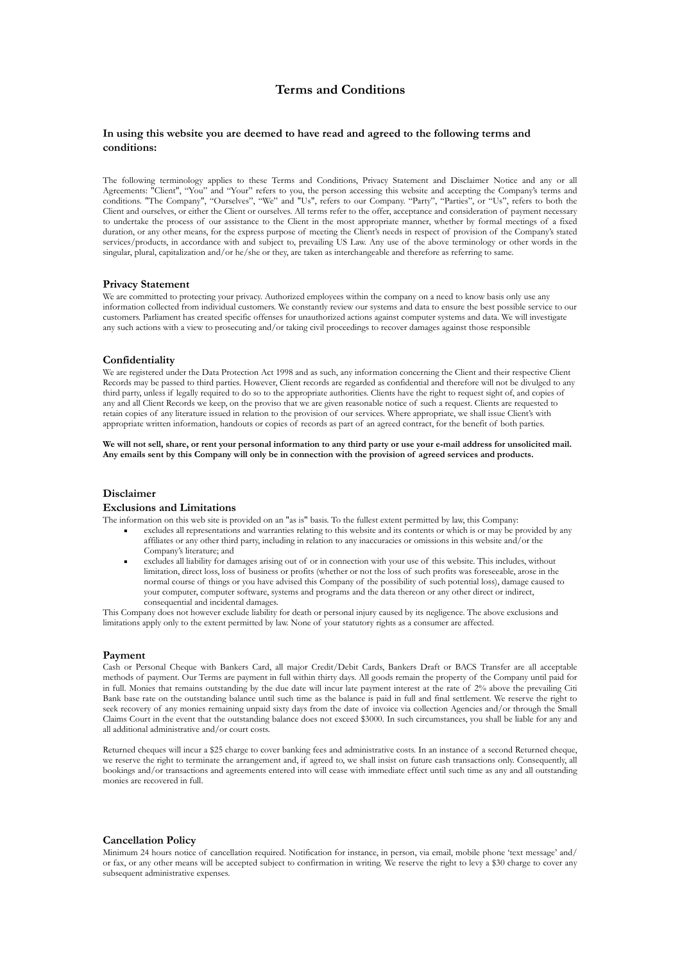# **Terms and Conditions**

### **In using this website you are deemed to have read and agreed to the following terms and conditions:**

The following terminology applies to these Terms and Conditions, Privacy Statement and Disclaimer Notice and any or all Agreements: "Client", "You" and "Your" refers to you, the person accessing this website and accepting the Company's terms and conditions. "The Company", "Ourselves", "We" and "Us", refers to our Company. "Party", "Parties", or "Us", refers to both the Client and ourselves, or either the Client or ourselves. All terms refer to the offer, acceptance and consideration of payment necessary to undertake the process of our assistance to the Client in the most appropriate manner, whether by formal meetings of a fixed duration, or any other means, for the express purpose of meeting the Client's needs in respect of provision of the Company's stated services/products, in accordance with and subject to, prevailing US Law. Any use of the above terminology or other words in the singular, plural, capitalization and/or he/she or they, are taken as interchangeable and therefore as referring to same.

#### **Privacy Statement**

We are committed to protecting your privacy. Authorized employees within the company on a need to know basis only use any information collected from individual customers. We constantly review our systems and data to ensure the best possible service to our customers. Parliament has created specific offenses for unauthorized actions against computer systems and data. We will investigate any such actions with a view to prosecuting and/or taking civil proceedings to recover damages against those responsible

### **Confidentiality**

We are registered under the Data Protection Act 1998 and as such, any information concerning the Client and their respective Client Records may be passed to third parties. However, Client records are regarded as confidential and therefore will not be divulged to any third party, unless if legally required to do so to the appropriate authorities. Clients have the right to request sight of, and copies of any and all Client Records we keep, on the proviso that we are given reasonable notice of such a request. Clients are requested to retain copies of any literature issued in relation to the provision of our services. Where appropriate, we shall issue Client's with appropriate written information, handouts or copies of records as part of an agreed contract, for the benefit of both parties.

**We will not sell, share, or rent your personal information to any third party or use your e-mail address for unsolicited mail. Any emails sent by this Company will only be in connection with the provision of agreed services and products.** 

### **Disclaimer**

#### **Exclusions and Limitations**

The information on this web site is provided on an "as is" basis. To the fullest extent permitted by law, this Company:

- excludes all representations and warranties relating to this website and its contents or which is or may be provided by any affiliates or any other third party, including in relation to any inaccuracies or omissions in this website and/or the Company's literature; and
- excludes all liability for damages arising out of or in connection with your use of this website. This includes, without limitation, direct loss, loss of business or profits (whether or not the loss of such profits was foreseeable, arose in the normal course of things or you have advised this Company of the possibility of such potential loss), damage caused to your computer, computer software, systems and programs and the data thereon or any other direct or indirect, consequential and incidental damages.

This Company does not however exclude liability for death or personal injury caused by its negligence. The above exclusions and limitations apply only to the extent permitted by law. None of your statutory rights as a consumer are affected.

#### **Payment**

Cash or Personal Cheque with Bankers Card, all major Credit/Debit Cards, Bankers Draft or BACS Transfer are all acceptable methods of payment. Our Terms are payment in full within thirty days. All goods remain the property of the Company until paid for in full. Monies that remains outstanding by the due date will incur late payment interest at the rate of 2% above the prevailing Citi Bank base rate on the outstanding balance until such time as the balance is paid in full and final settlement. We reserve the right to seek recovery of any monies remaining unpaid sixty days from the date of invoice via collection Agencies and/or through the Small Claims Court in the event that the outstanding balance does not exceed \$3000. In such circumstances, you shall be liable for any and all additional administrative and/or court costs.

Returned cheques will incur a \$25 charge to cover banking fees and administrative costs. In an instance of a second Returned cheque, we reserve the right to terminate the arrangement and, if agreed to, we shall insist on future cash transactions only. Consequently, all bookings and/or transactions and agreements entered into will cease with immediate effect until such time as any and all outstanding monies are recovered in full.

#### **Cancellation Policy**

Minimum 24 hours notice of cancellation required. Notification for instance, in person, via email, mobile phone 'text message' and/ or fax, or any other means will be accepted subject to confirmation in writing. We reserve the right to levy a \$30 charge to cover any subsequent administrative expenses.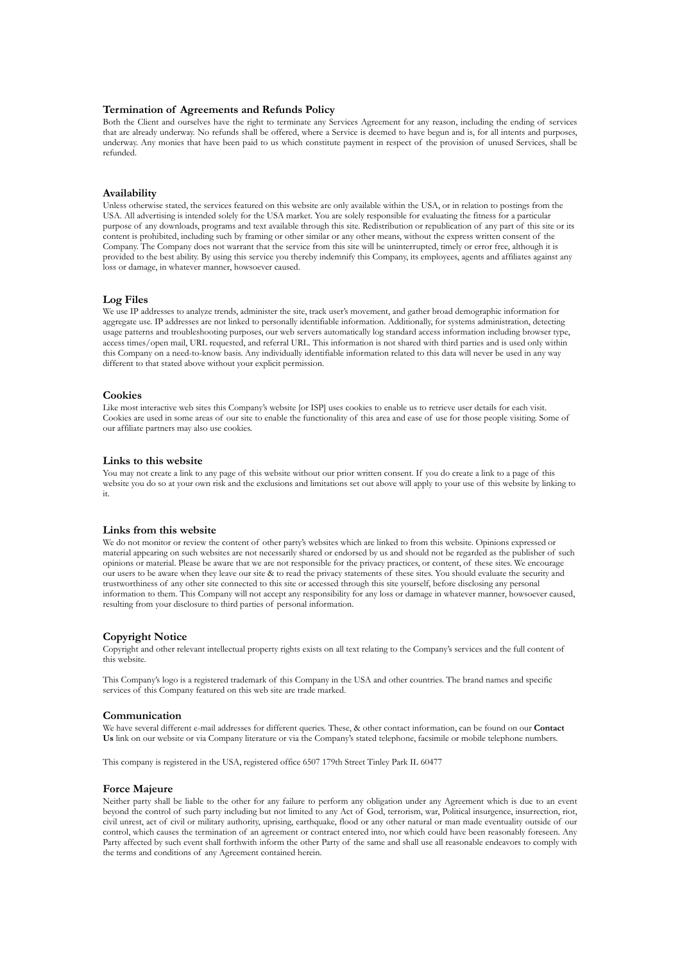### **Termination of Agreements and Refunds Policy**

Both the Client and ourselves have the right to terminate any Services Agreement for any reason, including the ending of services that are already underway. No refunds shall be offered, where a Service is deemed to have begun and is, for all intents and purposes, underway. Any monies that have been paid to us which constitute payment in respect of the provision of unused Services, shall be refunded.

### **Availability**

Unless otherwise stated, the services featured on this website are only available within the USA, or in relation to postings from the USA. All advertising is intended solely for the USA market. You are solely responsible for evaluating the fitness for a particular purpose of any downloads, programs and text available through this site. Redistribution or republication of any part of this site or its content is prohibited, including such by framing or other similar or any other means, without the express written consent of the Company. The Company does not warrant that the service from this site will be uninterrupted, timely or error free, although it is provided to the best ability. By using this service you thereby indemnify this Company, its employees, agents and affiliates against any loss or damage, in whatever manner, howsoever caused.

### **Log Files**

We use IP addresses to analyze trends, administer the site, track user's movement, and gather broad demographic information for aggregate use. IP addresses are not linked to personally identifiable information. Additionally, for systems administration, detecting usage patterns and troubleshooting purposes, our web servers automatically log standard access information including browser type, access times/open mail, URL requested, and referral URL. This information is not shared with third parties and is used only within this Company on a need-to-know basis. Any individually identifiable information related to this data will never be used in any way different to that stated above without your explicit permission.

### **Cookies**

Like most interactive web sites this Company's website [or ISP] uses cookies to enable us to retrieve user details for each visit. Cookies are used in some areas of our site to enable the functionality of this area and ease of use for those people visiting. Some of our affiliate partners may also use cookies.

#### **Links to this website**

You may not create a link to any page of this website without our prior written consent. If you do create a link to a page of this website you do so at your own risk and the exclusions and limitations set out above will apply to your use of this website by linking to it.

### **Links from this website**

We do not monitor or review the content of other party's websites which are linked to from this website. Opinions expressed or material appearing on such websites are not necessarily shared or endorsed by us and should not be regarded as the publisher of such opinions or material. Please be aware that we are not responsible for the privacy practices, or content, of these sites. We encourage our users to be aware when they leave our site & to read the privacy statements of these sites. You should evaluate the security and trustworthiness of any other site connected to this site or accessed through this site yourself, before disclosing any personal information to them. This Company will not accept any responsibility for any loss or damage in whatever manner, howsoever caused, resulting from your disclosure to third parties of personal information.

#### **Copyright Notice**

Copyright and other relevant intellectual property rights exists on all text relating to the Company's services and the full content of this website.

This Company's logo is a registered trademark of this Company in the USA and other countries. The brand names and specific services of this Company featured on this web site are trade marked.

#### **Communication**

We have several different e-mail addresses for different queries. These, & other contact information, can be found on our **Contact Us** link on our website or via Company literature or via the Company's stated telephone, facsimile or mobile telephone numbers.

This company is registered in the USA, registered office 6507 179th Street Tinley Park IL 60477

#### **Force Majeure**

Neither party shall be liable to the other for any failure to perform any obligation under any Agreement which is due to an event beyond the control of such party including but not limited to any Act of God, terrorism, war, Political insurgence, insurrection, riot, civil unrest, act of civil or military authority, uprising, earthquake, flood or any other natural or man made eventuality outside of our control, which causes the termination of an agreement or contract entered into, nor which could have been reasonably foreseen. Any Party affected by such event shall forthwith inform the other Party of the same and shall use all reasonable endeavors to comply with the terms and conditions of any Agreement contained herein.